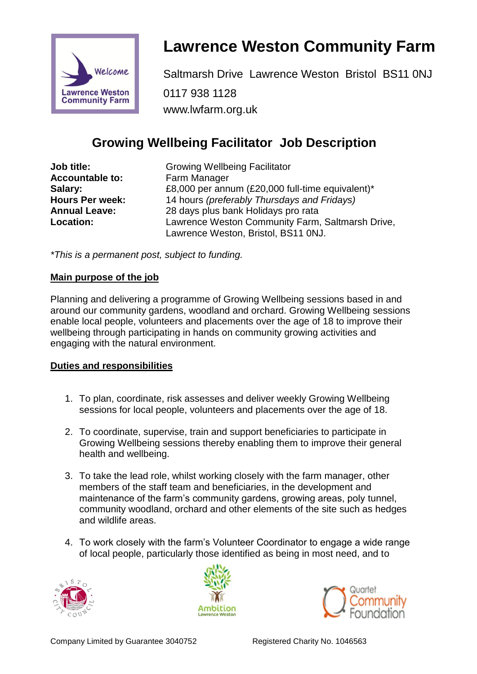

# **Lawrence Weston Community Farm**

Saltmarsh Drive Lawrence Weston Bristol BS11 0NJ 0117 938 1128 www.lwfarm.org.uk

## **Growing Wellbeing Facilitator Job Description**

**Job title:** Growing Wellbeing Facilitator **Accountable to:** Farm Manager

**Salary:** E8,000 per annum (£20,000 full-time equivalent)\* **Hours Per week:** 14 hours *(preferably Thursdays and Fridays)* **Annual Leave:** 28 days plus bank Holidays pro rata Lawrence Weston Community Farm, Saltmarsh Drive, Lawrence Weston, Bristol, BS11 0NJ.

*\*This is a permanent post, subject to funding.*

#### **Main purpose of the job**

Planning and delivering a programme of Growing Wellbeing sessions based in and around our community gardens, woodland and orchard. Growing Wellbeing sessions enable local people, volunteers and placements over the age of 18 to improve their wellbeing through participating in hands on community growing activities and engaging with the natural environment.

#### **Duties and responsibilities**

- 1. To plan, coordinate, risk assesses and deliver weekly Growing Wellbeing sessions for local people, volunteers and placements over the age of 18.
- 2. To coordinate, supervise, train and support beneficiaries to participate in Growing Wellbeing sessions thereby enabling them to improve their general health and wellbeing.
- 3. To take the lead role, whilst working closely with the farm manager, other members of the staff team and beneficiaries, in the development and maintenance of the farm's community gardens, growing areas, poly tunnel, community woodland, orchard and other elements of the site such as hedges and wildlife areas.
- 4. To work closely with the farm's Volunteer Coordinator to engage a wide range of local people, particularly those identified as being in most need, and to